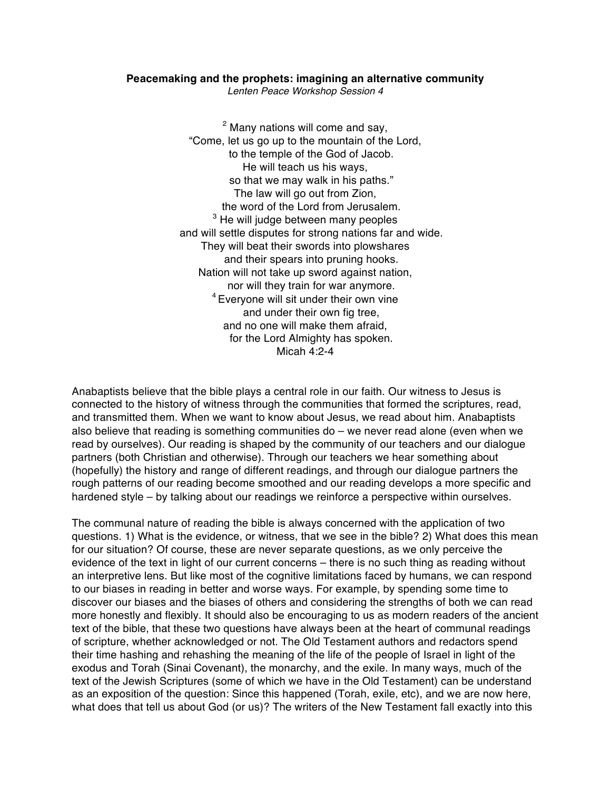## **Peacemaking and the prophets: imagining an alternative community**

*Lenten Peace Workshop Session 4*

<sup>2</sup> Many nations will come and say, "Come, let us go up to the mountain of the Lord, to the temple of the God of Jacob. He will teach us his ways, so that we may walk in his paths." The law will go out from Zion, the word of the Lord from Jerusalem. <sup>3</sup> He will judge between many peoples and will settle disputes for strong nations far and wide. They will beat their swords into plowshares and their spears into pruning hooks. Nation will not take up sword against nation, nor will they train for war anymore. <sup>4</sup> Evervone will sit under their own vine and under their own fig tree, and no one will make them afraid, for the Lord Almighty has spoken. Micah 4:2-4

Anabaptists believe that the bible plays a central role in our faith. Our witness to Jesus is connected to the history of witness through the communities that formed the scriptures, read, and transmitted them. When we want to know about Jesus, we read about him. Anabaptists also believe that reading is something communities do – we never read alone (even when we read by ourselves). Our reading is shaped by the community of our teachers and our dialogue partners (both Christian and otherwise). Through our teachers we hear something about (hopefully) the history and range of different readings, and through our dialogue partners the rough patterns of our reading become smoothed and our reading develops a more specific and hardened style – by talking about our readings we reinforce a perspective within ourselves.

The communal nature of reading the bible is always concerned with the application of two questions. 1) What is the evidence, or witness, that we see in the bible? 2) What does this mean for our situation? Of course, these are never separate questions, as we only perceive the evidence of the text in light of our current concerns – there is no such thing as reading without an interpretive lens. But like most of the cognitive limitations faced by humans, we can respond to our biases in reading in better and worse ways. For example, by spending some time to discover our biases and the biases of others and considering the strengths of both we can read more honestly and flexibly. It should also be encouraging to us as modern readers of the ancient text of the bible, that these two questions have always been at the heart of communal readings of scripture, whether acknowledged or not. The Old Testament authors and redactors spend their time hashing and rehashing the meaning of the life of the people of Israel in light of the exodus and Torah (Sinai Covenant), the monarchy, and the exile. In many ways, much of the text of the Jewish Scriptures (some of which we have in the Old Testament) can be understand as an exposition of the question: Since this happened (Torah, exile, etc), and we are now here, what does that tell us about God (or us)? The writers of the New Testament fall exactly into this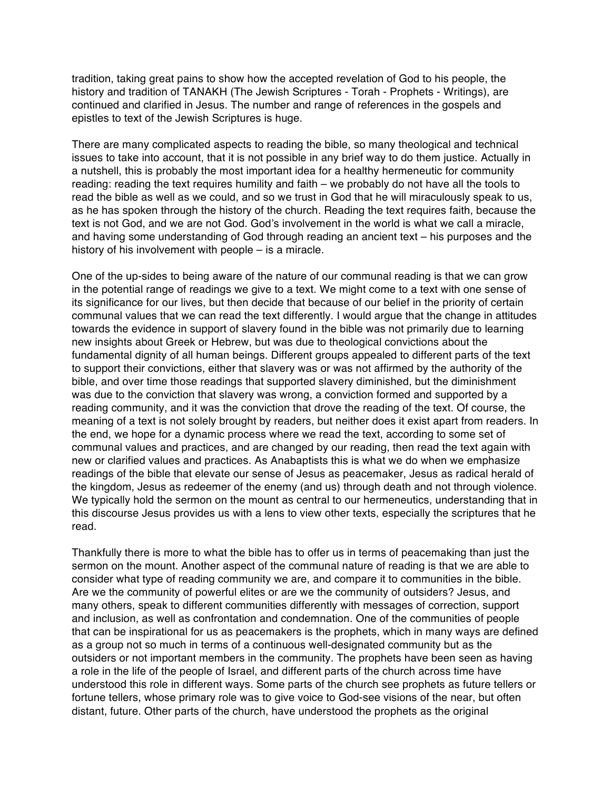tradition, taking great pains to show how the accepted revelation of God to his people, the history and tradition of TANAKH (The Jewish Scriptures - Torah - Prophets - Writings), are continued and clarified in Jesus. The number and range of references in the gospels and epistles to text of the Jewish Scriptures is huge.

There are many complicated aspects to reading the bible, so many theological and technical issues to take into account, that it is not possible in any brief way to do them justice. Actually in a nutshell, this is probably the most important idea for a healthy hermeneutic for community reading: reading the text requires humility and faith – we probably do not have all the tools to read the bible as well as we could, and so we trust in God that he will miraculously speak to us, as he has spoken through the history of the church. Reading the text requires faith, because the text is not God, and we are not God. God's involvement in the world is what we call a miracle, and having some understanding of God through reading an ancient text – his purposes and the history of his involvement with people – is a miracle.

One of the up-sides to being aware of the nature of our communal reading is that we can grow in the potential range of readings we give to a text. We might come to a text with one sense of its significance for our lives, but then decide that because of our belief in the priority of certain communal values that we can read the text differently. I would argue that the change in attitudes towards the evidence in support of slavery found in the bible was not primarily due to learning new insights about Greek or Hebrew, but was due to theological convictions about the fundamental dignity of all human beings. Different groups appealed to different parts of the text to support their convictions, either that slavery was or was not affirmed by the authority of the bible, and over time those readings that supported slavery diminished, but the diminishment was due to the conviction that slavery was wrong, a conviction formed and supported by a reading community, and it was the conviction that drove the reading of the text. Of course, the meaning of a text is not solely brought by readers, but neither does it exist apart from readers. In the end, we hope for a dynamic process where we read the text, according to some set of communal values and practices, and are changed by our reading, then read the text again with new or clarified values and practices. As Anabaptists this is what we do when we emphasize readings of the bible that elevate our sense of Jesus as peacemaker, Jesus as radical herald of the kingdom, Jesus as redeemer of the enemy (and us) through death and not through violence. We typically hold the sermon on the mount as central to our hermeneutics, understanding that in this discourse Jesus provides us with a lens to view other texts, especially the scriptures that he read.

Thankfully there is more to what the bible has to offer us in terms of peacemaking than just the sermon on the mount. Another aspect of the communal nature of reading is that we are able to consider what type of reading community we are, and compare it to communities in the bible. Are we the community of powerful elites or are we the community of outsiders? Jesus, and many others, speak to different communities differently with messages of correction, support and inclusion, as well as confrontation and condemnation. One of the communities of people that can be inspirational for us as peacemakers is the prophets, which in many ways are defined as a group not so much in terms of a continuous well-designated community but as the outsiders or not important members in the community. The prophets have been seen as having a role in the life of the people of Israel, and different parts of the church across time have understood this role in different ways. Some parts of the church see prophets as future tellers or fortune tellers, whose primary role was to give voice to God-see visions of the near, but often distant, future. Other parts of the church, have understood the prophets as the original